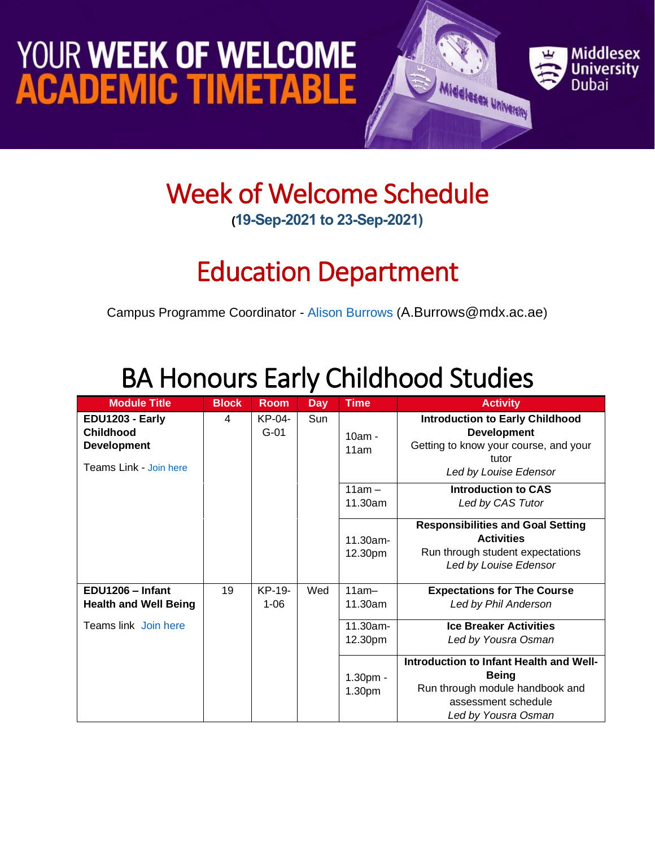## YOUR WEEK OF WELCOME **ACADEMIC TIMETABLE**



#### Week of Welcome Schedule **(19-Sep-2021 to 23-Sep-2021)**

## Education Department

Campus Programme Coordinator - [Alison Burrows](https://www.mdx.ac.ae/about-us/our-people/staff-detail/alison-joy-burrows) ([A.Burrows@mdx.ac.ae](mailto:A.Burrows@mdx.ac.ae))

## BA Honours Early Childhood Studies

| <b>Module Title</b>                                                                 | <b>Block</b> | <b>Room</b>        | <b>Day</b> | <b>Time</b>                      | <b>Activity</b>                                                                                                                          |                                                                                                                                         |
|-------------------------------------------------------------------------------------|--------------|--------------------|------------|----------------------------------|------------------------------------------------------------------------------------------------------------------------------------------|-----------------------------------------------------------------------------------------------------------------------------------------|
| EDU1203 - Early<br><b>Childhood</b><br><b>Development</b><br>Teams Link - Join here | 4            | KP-04-<br>$G-01$   | Sun        |                                  | $10am -$<br>11am                                                                                                                         | <b>Introduction to Early Childhood</b><br><b>Development</b><br>Getting to know your course, and your<br>tutor<br>Led by Louise Edensor |
|                                                                                     |              |                    |            | $11am -$<br>11.30am              | <b>Introduction to CAS</b><br>Led by CAS Tutor                                                                                           |                                                                                                                                         |
|                                                                                     |              |                    |            | $11.30am -$<br>12.30pm           | <b>Responsibilities and Goal Setting</b><br><b>Activities</b><br>Run through student expectations<br>Led by Louise Edensor               |                                                                                                                                         |
| EDU1206 - Infant<br><b>Health and Well Being</b>                                    | 19           | KP-19-<br>$1 - 06$ | Wed        | $11am-$<br>11.30am               | <b>Expectations for The Course</b><br>Led by Phil Anderson                                                                               |                                                                                                                                         |
| Teams link Join here                                                                |              |                    |            | 11.30am-<br>12.30pm              | <b>Ice Breaker Activities</b><br>Led by Yousra Osman                                                                                     |                                                                                                                                         |
|                                                                                     |              |                    |            | $1.30pm$ -<br>1.30 <sub>pm</sub> | Introduction to Infant Health and Well-<br><b>Being</b><br>Run through module handbook and<br>assessment schedule<br>Led by Yousra Osman |                                                                                                                                         |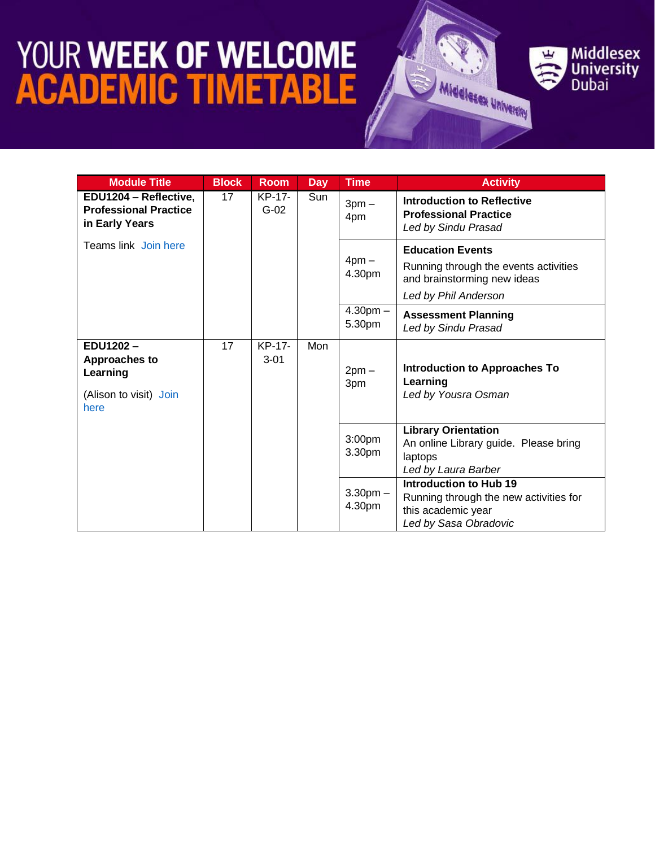# **YOUR WEEK OF WELCOME<br>ACADEMIC TIMETABLE**



| <b>Module Title</b>                                                            | <b>Block</b>                    | <b>Room</b>      | <b>Day</b>     | <b>Time</b>                                                             | <b>Activity</b>                                                                                                         |
|--------------------------------------------------------------------------------|---------------------------------|------------------|----------------|-------------------------------------------------------------------------|-------------------------------------------------------------------------------------------------------------------------|
| EDU1204 - Reflective,<br><b>Professional Practice</b><br>in Early Years        | 17                              | KP-17-<br>$G-02$ | Sun            | $3pm -$<br>4pm                                                          | <b>Introduction to Reflective</b><br><b>Professional Practice</b><br>Led by Sindu Prasad                                |
| Teams link Join here                                                           |                                 |                  |                | $4pm -$<br>4.30pm                                                       | <b>Education Events</b><br>Running through the events activities<br>and brainstorming new ideas<br>Led by Phil Anderson |
|                                                                                |                                 |                  |                | $4.30pm -$<br>5.30pm                                                    | <b>Assessment Planning</b><br>Led by Sindu Prasad                                                                       |
| EDU1202-<br><b>Approaches to</b><br>Learning<br>(Alison to visit) Join<br>here | 17<br>KP-17-<br>Mon<br>$3 - 01$ |                  | $2pm -$<br>3pm | <b>Introduction to Approaches To</b><br>Learning<br>Led by Yousra Osman |                                                                                                                         |
|                                                                                |                                 |                  |                | 3:00pm<br>3.30pm                                                        | <b>Library Orientation</b><br>An online Library guide. Please bring<br>laptops<br>Led by Laura Barber                   |
|                                                                                |                                 |                  |                | $3.30pm -$<br>4.30pm                                                    | Introduction to Hub 19<br>Running through the new activities for<br>this academic year<br>Led by Sasa Obradovic         |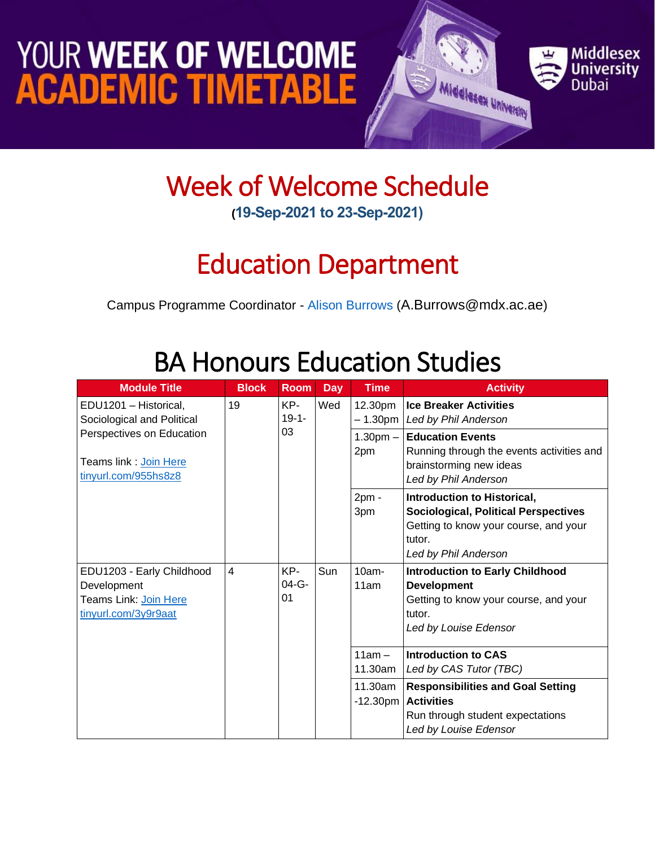## YOUR WEEK OF WELCOME **ACADEMIC TIMETABLE**



#### Week of Welcome Schedule **(19-Sep-2021 to 23-Sep-2021)**

## Education Department

Campus Programme Coordinator - [Alison Burrows](https://www.mdx.ac.ae/about-us/our-people/staff-detail/alison-joy-burrows) ([A.Burrows@mdx.ac.ae](mailto:A.Burrows@mdx.ac.ae))

### BA Honours Education Studies

| <b>Module Title</b>                                                                       | <b>Block</b>   | <b>Room</b>        | <b>Day</b> | <b>Time</b>            | <b>Activity</b>                                                                                                                                       |
|-------------------------------------------------------------------------------------------|----------------|--------------------|------------|------------------------|-------------------------------------------------------------------------------------------------------------------------------------------------------|
| EDU1201 - Historical,<br>Sociological and Political                                       | 19             | KP-<br>$19 - 1 -$  | Wed        | 12.30pm                | <b>Ice Breaker Activities</b><br>– 1.30pm   Led by Phil Anderson                                                                                      |
| Perspectives on Education<br>Teams link : <u>Join Here</u><br>tinyurl.com/955hs8z8        |                | 03                 |            | $1.30pm -$<br>2pm      | <b>Education Events</b><br>Running through the events activities and<br>brainstorming new ideas<br>Led by Phil Anderson                               |
|                                                                                           |                |                    |            | $2pm -$<br>3pm         | Introduction to Historical,<br><b>Sociological, Political Perspectives</b><br>Getting to know your course, and your<br>tutor.<br>Led by Phil Anderson |
| EDU1203 - Early Childhood<br>Development<br>Teams Link: Join Here<br>tinyurl.com/3y9r9aat | $\overline{4}$ | KP-<br>04-G-<br>01 | Sun        | $10am -$<br>11am       | <b>Introduction to Early Childhood</b><br><b>Development</b><br>Getting to know your course, and your<br>tutor.<br>Led by Louise Edensor              |
|                                                                                           |                |                    |            | $11am -$<br>11.30am    | <b>Introduction to CAS</b><br>Led by CAS Tutor (TBC)                                                                                                  |
|                                                                                           |                |                    |            | 11.30am<br>$-12.30$ pm | <b>Responsibilities and Goal Setting</b><br><b>Activities</b><br>Run through student expectations<br>Led by Louise Edensor                            |